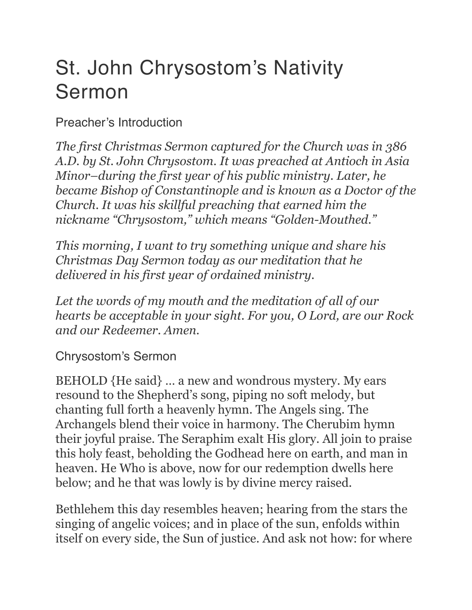## St. John Chrysostom's Nativity Sermon

Preacher's Introduction

*The first Christmas Sermon captured for the Church was in 386 A.D. by St. John Chrysostom. It was preached at Antioch in Asia Minor–during the first year of his public ministry. Later, he became Bishop of Constantinople and is known as a Doctor of the Church. It was his skillful preaching that earned him the nickname "Chrysostom," which means "Golden-Mouthed."* 

*This morning, I want to try something unique and share his Christmas Day Sermon today as our meditation that he delivered in his first year of ordained ministry.* 

*Let the words of my mouth and the meditation of all of our hearts be acceptable in your sight. For you, O Lord, are our Rock and our Redeemer. Amen.* 

Chrysostom's Sermon

BEHOLD {He said} … a new and wondrous mystery. My ears resound to the Shepherd's song, piping no soft melody, but chanting full forth a heavenly hymn. The Angels sing. The Archangels blend their voice in harmony. The Cherubim hymn their joyful praise. The Seraphim exalt His glory. All join to praise this holy feast, beholding the Godhead here on earth, and man in heaven. He Who is above, now for our redemption dwells here below; and he that was lowly is by divine mercy raised.

Bethlehem this day resembles heaven; hearing from the stars the singing of angelic voices; and in place of the sun, enfolds within itself on every side, the Sun of justice. And ask not how: for where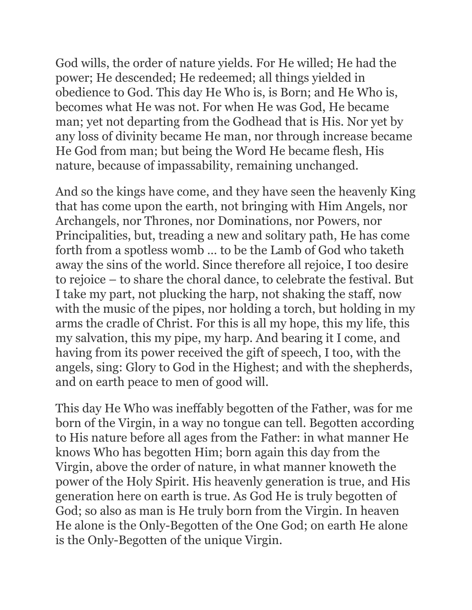God wills, the order of nature yields. For He willed; He had the power; He descended; He redeemed; all things yielded in obedience to God. This day He Who is, is Born; and He Who is, becomes what He was not. For when He was God, He became man; yet not departing from the Godhead that is His. Nor yet by any loss of divinity became He man, nor through increase became He God from man; but being the Word He became flesh, His nature, because of impassability, remaining unchanged.

And so the kings have come, and they have seen the heavenly King that has come upon the earth, not bringing with Him Angels, nor Archangels, nor Thrones, nor Dominations, nor Powers, nor Principalities, but, treading a new and solitary path, He has come forth from a spotless womb … to be the Lamb of God who taketh away the sins of the world. Since therefore all rejoice, I too desire to rejoice – to share the choral dance, to celebrate the festival. But I take my part, not plucking the harp, not shaking the staff, now with the music of the pipes, nor holding a torch, but holding in my arms the cradle of Christ. For this is all my hope, this my life, this my salvation, this my pipe, my harp. And bearing it I come, and having from its power received the gift of speech, I too, with the angels, sing: Glory to God in the Highest; and with the shepherds, and on earth peace to men of good will.

This day He Who was ineffably begotten of the Father, was for me born of the Virgin, in a way no tongue can tell. Begotten according to His nature before all ages from the Father: in what manner He knows Who has begotten Him; born again this day from the Virgin, above the order of nature, in what manner knoweth the power of the Holy Spirit. His heavenly generation is true, and His generation here on earth is true. As God He is truly begotten of God; so also as man is He truly born from the Virgin. In heaven He alone is the Only-Begotten of the One God; on earth He alone is the Only-Begotten of the unique Virgin.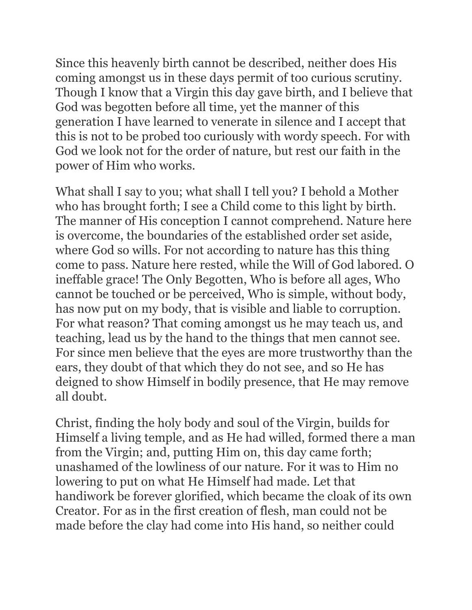Since this heavenly birth cannot be described, neither does His coming amongst us in these days permit of too curious scrutiny. Though I know that a Virgin this day gave birth, and I believe that God was begotten before all time, yet the manner of this generation I have learned to venerate in silence and I accept that this is not to be probed too curiously with wordy speech. For with God we look not for the order of nature, but rest our faith in the power of Him who works.

What shall I say to you; what shall I tell you? I behold a Mother who has brought forth; I see a Child come to this light by birth. The manner of His conception I cannot comprehend. Nature here is overcome, the boundaries of the established order set aside, where God so wills. For not according to nature has this thing come to pass. Nature here rested, while the Will of God labored. O ineffable grace! The Only Begotten, Who is before all ages, Who cannot be touched or be perceived, Who is simple, without body, has now put on my body, that is visible and liable to corruption. For what reason? That coming amongst us he may teach us, and teaching, lead us by the hand to the things that men cannot see. For since men believe that the eyes are more trustworthy than the ears, they doubt of that which they do not see, and so He has deigned to show Himself in bodily presence, that He may remove all doubt.

Christ, finding the holy body and soul of the Virgin, builds for Himself a living temple, and as He had willed, formed there a man from the Virgin; and, putting Him on, this day came forth; unashamed of the lowliness of our nature. For it was to Him no lowering to put on what He Himself had made. Let that handiwork be forever glorified, which became the cloak of its own Creator. For as in the first creation of flesh, man could not be made before the clay had come into His hand, so neither could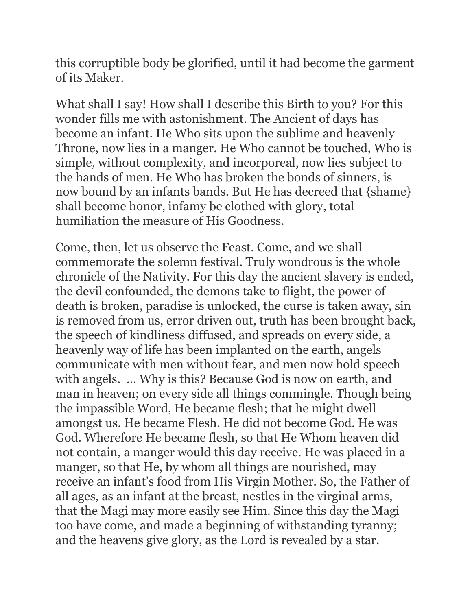this corruptible body be glorified, until it had become the garment of its Maker.

What shall I say! How shall I describe this Birth to you? For this wonder fills me with astonishment. The Ancient of days has become an infant. He Who sits upon the sublime and heavenly Throne, now lies in a manger. He Who cannot be touched, Who is simple, without complexity, and incorporeal, now lies subject to the hands of men. He Who has broken the bonds of sinners, is now bound by an infants bands. But He has decreed that {shame} shall become honor, infamy be clothed with glory, total humiliation the measure of His Goodness.

Come, then, let us observe the Feast. Come, and we shall commemorate the solemn festival. Truly wondrous is the whole chronicle of the Nativity. For this day the ancient slavery is ended, the devil confounded, the demons take to flight, the power of death is broken, paradise is unlocked, the curse is taken away, sin is removed from us, error driven out, truth has been brought back, the speech of kindliness diffused, and spreads on every side, a heavenly way of life has been implanted on the earth, angels communicate with men without fear, and men now hold speech with angels. ... Why is this? Because God is now on earth, and man in heaven; on every side all things commingle. Though being the impassible Word, He became flesh; that he might dwell amongst us. He became Flesh. He did not become God. He was God. Wherefore He became flesh, so that He Whom heaven did not contain, a manger would this day receive. He was placed in a manger, so that He, by whom all things are nourished, may receive an infant's food from His Virgin Mother. So, the Father of all ages, as an infant at the breast, nestles in the virginal arms, that the Magi may more easily see Him. Since this day the Magi too have come, and made a beginning of withstanding tyranny; and the heavens give glory, as the Lord is revealed by a star.